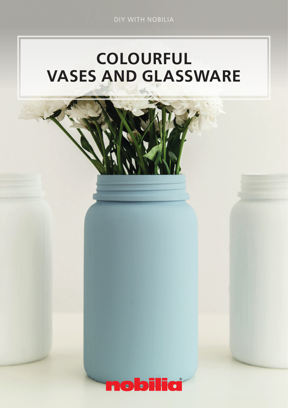DIY WITH NOBILIA

# COLOURFUL VASES AND GLASSWARE